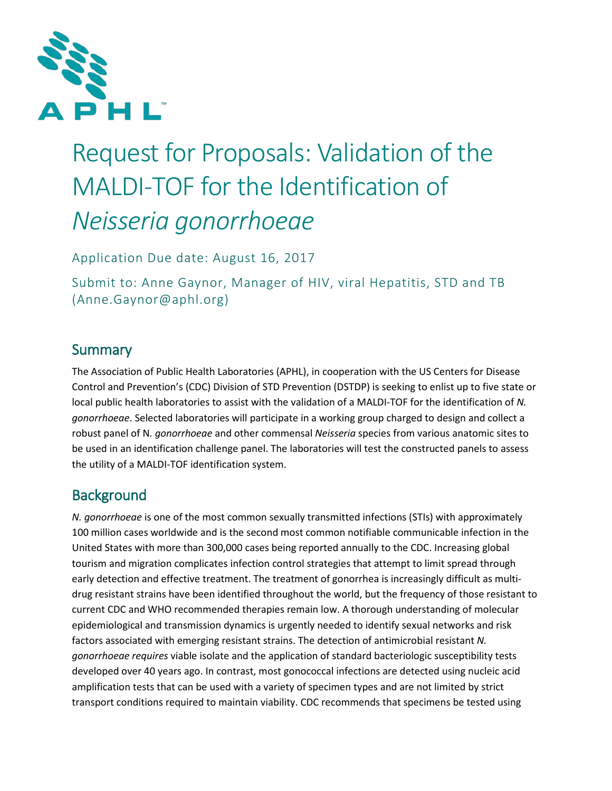

# Request for Proposals: Validation of the MALDI-TOF for the Identification of *Neisseria gonorrhoeae*

Application Due date: August 16, 2017

Submit to: Anne Gaynor, Manager of HIV, viral Hepatitis, STD and TB (Anne.Gaynor@aphl.org)

### Summary

The Association of Public Health Laboratories (APHL), in cooperation with the US Centers for Disease Control and Prevention's (CDC) Division of STD Prevention (DSTDP) is seeking to enlist up to five state or local public health laboratories to assist with the validation of a MALDI-TOF for the identification of *N. gonorrhoeae*. Selected laboratories will participate in a working group charged to design and collect a robust panel of N*. gonorrhoeae* and other commensal *Neisseria* species from various anatomic sites to be used in an identification challenge panel. The laboratories will test the constructed panels to assess the utility of a MALDI-TOF identification system.

### **Background**

*N. gonorrhoeae* is one of the most common sexually transmitted infections (STIs) with approximately 100 million cases worldwide and is the second most common notifiable communicable infection in the United States with more than 300,000 cases being reported annually to the CDC. Increasing global tourism and migration complicates infection control strategies that attempt to limit spread through early detection and effective treatment. The treatment of gonorrhea is increasingly difficult as multidrug resistant strains have been identified throughout the world, but the frequency of those resistant to current CDC and WHO recommended therapies remain low. A thorough understanding of molecular epidemiological and transmission dynamics is urgently needed to identify sexual networks and risk factors associated with emerging resistant strains. The detection of antimicrobial resistant *N. gonorrhoeae requires* viable isolate and the application of standard bacteriologic susceptibility tests developed over 40 years ago. In contrast, most gonococcal infections are detected using nucleic acid amplification tests that can be used with a variety of specimen types and are not limited by strict transport conditions required to maintain viability. CDC recommends that specimens be tested using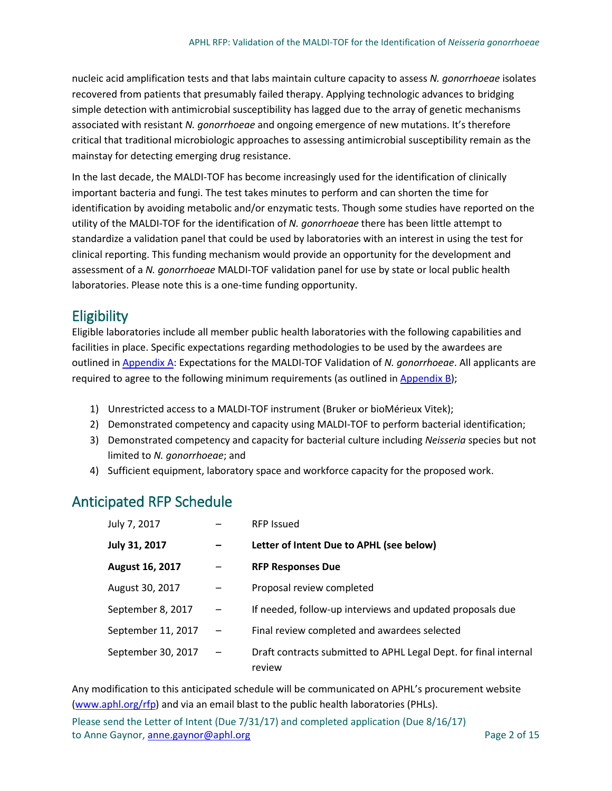nucleic acid amplification tests and that labs maintain culture capacity to assess *N. gonorrhoeae* isolates recovered from patients that presumably failed therapy. Applying technologic advances to bridging simple detection with antimicrobial susceptibility has lagged due to the array of genetic mechanisms associated with resistant *N. gonorrhoeae* and ongoing emergence of new mutations. It's therefore critical that traditional microbiologic approaches to assessing antimicrobial susceptibility remain as the mainstay for detecting emerging drug resistance.

In the last decade, the MALDI-TOF has become increasingly used for the identification of clinically important bacteria and fungi. The test takes minutes to perform and can shorten the time for identification by avoiding metabolic and/or enzymatic tests. Though some studies have reported on the utility of the MALDI-TOF for the identification of *N. gonorrhoeae* there has been little attempt to standardize a validation panel that could be used by laboratories with an interest in using the test for clinical reporting. This funding mechanism would provide an opportunity for the development and assessment of a *N. gonorrhoeae* MALDI-TOF validation panel for use by state or local public health laboratories. Please note this is a one-time funding opportunity.

### **Eligibility**

Eligible laboratories include all member public health laboratories with the following capabilities and facilities in place. Specific expectations regarding methodologies to be used by the awardees are outlined in [Appendix A:](#page-5-0) Expectations for the MALDI-TOF Validation of *N. gonorrhoeae*. All applicants are required to agree to the following minimum requirements (as outlined in  $\Delta p$  and  $\Delta p$ );

- 1) Unrestricted access to a MALDI-TOF instrument (Bruker or bioMérieux Vitek);
- 2) Demonstrated competency and capacity using MALDI-TOF to perform bacterial identification;
- 3) Demonstrated competency and capacity for bacterial culture including *Neisseria* species but not limited to *N. gonorrhoeae*; and
- 4) Sufficient equipment, laboratory space and workforce capacity for the proposed work.

### <span id="page-1-0"></span>Anticipated RFP Schedule

| July 7, 2017       |                          | <b>RFP Issued</b>                                                          |
|--------------------|--------------------------|----------------------------------------------------------------------------|
| July 31, 2017      |                          | Letter of Intent Due to APHL (see below)                                   |
| August 16, 2017    |                          | <b>RFP Responses Due</b>                                                   |
| August 30, 2017    |                          | Proposal review completed                                                  |
| September 8, 2017  |                          | If needed, follow-up interviews and updated proposals due                  |
| September 11, 2017 | $\overline{\phantom{m}}$ | Final review completed and awardees selected                               |
| September 30, 2017 |                          | Draft contracts submitted to APHL Legal Dept. for final internal<br>review |

Any modification to this anticipated schedule will be communicated on APHL's procurement website [\(www.aphl.org/rfp\)](http://www.aphl.org/rfp) and via an email blast to the public health laboratories (PHLs).

Please send the Letter of Intent (Due 7/31/17) and completed application (Due 8/16/17) to Anne Gaynor, **anne.gaynor@aphl.org** Page 2 of 15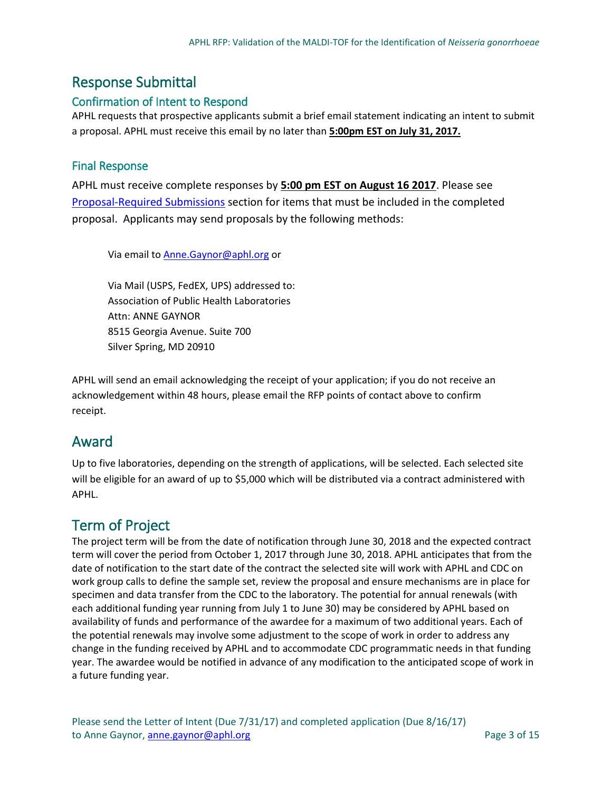#### Response Submittal

#### Confirmation of Intent to Respond

APHL requests that prospective applicants submit a brief email statement indicating an intent to submit a proposal. APHL must receive this email by no later than **5:00pm EST on July 31, 2017.** 

#### Final Response

APHL must receive complete responses by **5:00 pm EST on August 16 2017**. Please se[e](#page-4-0) [Proposal-Required Submissions](#page-4-0) section for items that must be included in the completed proposal. Applicants may send proposals by the following methods:

Via email t[o Anne.Gaynor@aphl.org](mailto:Anne.Gaynor@aphl.org) or

Via Mail (USPS, FedEX, UPS) addressed to: Association of Public Health Laboratories Attn: ANNE GAYNOR 8515 Georgia Avenue. Suite 700 Silver Spring, MD 20910

APHL will send an email acknowledging the receipt of your application; if you do not receive an acknowledgement within 48 hours, please email the RFP points of contact above to confirm receipt.

#### Award

Up to five laboratories, depending on the strength of applications, will be selected. Each selected site will be eligible for an award of up to \$5,000 which will be distributed via a contract administered with APHL.

#### Term of Project

The project term will be from the date of notification through June 30, 2018 and the expected contract term will cover the period from October 1, 2017 through June 30, 2018. APHL anticipates that from the date of notification to the start date of the contract the selected site will work with APHL and CDC on work group calls to define the sample set, review the proposal and ensure mechanisms are in place for specimen and data transfer from the CDC to the laboratory. The potential for annual renewals (with each additional funding year running from July 1 to June 30) may be considered by APHL based on availability of funds and performance of the awardee for a maximum of two additional years. Each of the potential renewals may involve some adjustment to the scope of work in order to address any change in the funding received by APHL and to accommodate CDC programmatic needs in that funding year. The awardee would be notified in advance of any modification to the anticipated scope of work in a future funding year.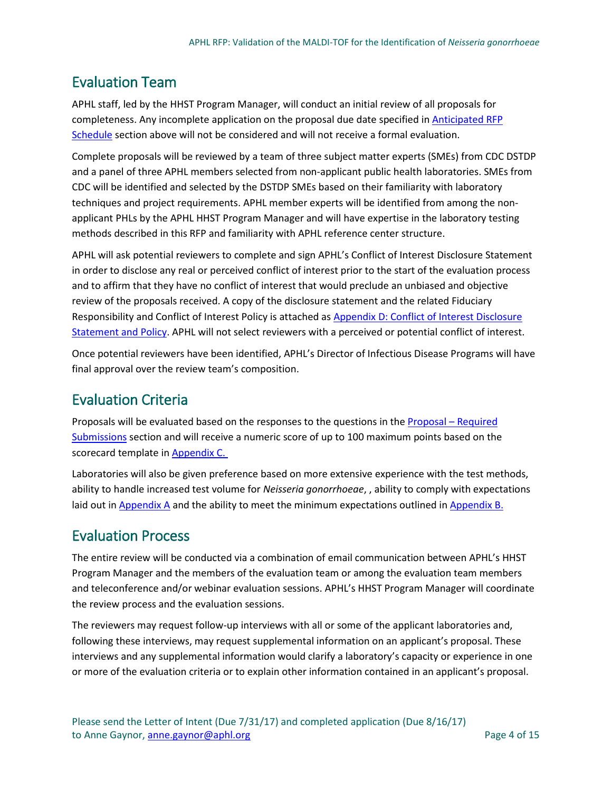### Evaluation Team

APHL staff, led by the HHST Program Manager, will conduct an initial review of all proposals for completeness. Any incomplete application on the proposal due date specified i[n Anticipated RFP](#page-1-0)  [Schedule](#page-1-0) section above will not be considered and will not receive a formal evaluation.

Complete proposals will be reviewed by a team of three subject matter experts (SMEs) from CDC DSTDP and a panel of three APHL members selected from non-applicant public health laboratories. SMEs from CDC will be identified and selected by the DSTDP SMEs based on their familiarity with laboratory techniques and project requirements. APHL member experts will be identified from among the nonapplicant PHLs by the APHL HHST Program Manager and will have expertise in the laboratory testing methods described in this RFP and familiarity with APHL reference center structure.

APHL will ask potential reviewers to complete and sign APHL's Conflict of Interest Disclosure Statement in order to disclose any real or perceived conflict of interest prior to the start of the evaluation process and to affirm that they have no conflict of interest that would preclude an unbiased and objective review of the proposals received. A copy of the disclosure statement and the related Fiduciary Responsibility and Conflict of Interest Policy is attached a[s Appendix D: Conflict of Interest Disclosure](#page-10-0)  [Statement and Policy.](#page-10-0) APHL will not select reviewers with a perceived or potential conflict of interest.

Once potential reviewers have been identified, APHL's Director of Infectious Disease Programs will have final approval over the review team's composition.

### Evaluation Criteria

Proposals will be evaluated based on the responses to the questions in the [Proposal –](#page-4-0) Required [Submissions](#page-4-0) section and will receive a numeric score of up to 100 maximum points based on the scorecard template in Appendix C.

Laboratories will also be given preference based on more extensive experience with the test methods, ability to handle increased test volume for *Neisseria gonorrhoeae*, , ability to comply with expectations laid out in [Appendix A](#page-5-0) and the ability to meet the minimum expectations outlined in [Appendix B.](#page-7-0)

#### Evaluation Process

The entire review will be conducted via a combination of email communication between APHL's HHST Program Manager and the members of the evaluation team or among the evaluation team members and teleconference and/or webinar evaluation sessions. APHL's HHST Program Manager will coordinate the review process and the evaluation sessions.

The reviewers may request follow-up interviews with all or some of the applicant laboratories and, following these interviews, may request supplemental information on an applicant's proposal. These interviews and any supplemental information would clarify a laboratory's capacity or experience in one or more of the evaluation criteria or to explain other information contained in an applicant's proposal.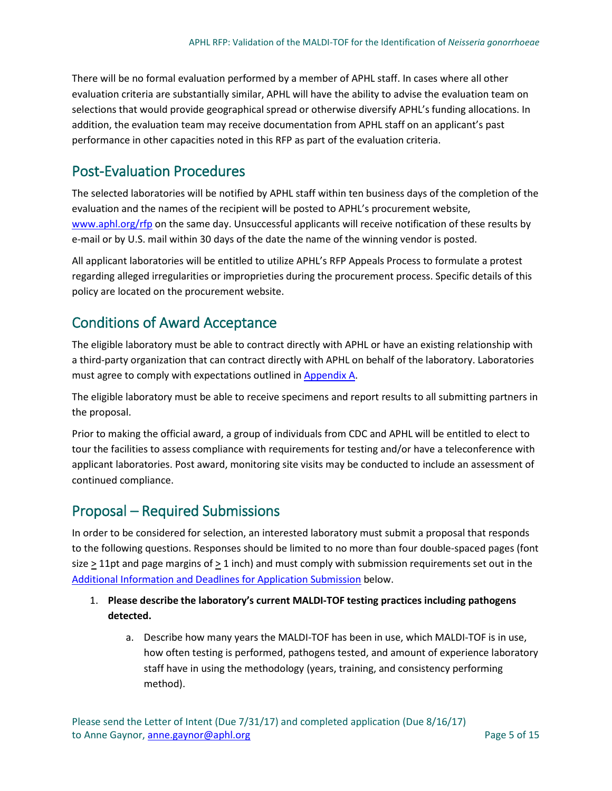There will be no formal evaluation performed by a member of APHL staff. In cases where all other evaluation criteria are substantially similar, APHL will have the ability to advise the evaluation team on selections that would provide geographical spread or otherwise diversify APHL's funding allocations. In addition, the evaluation team may receive documentation from APHL staff on an applicant's past performance in other capacities noted in this RFP as part of the evaluation criteria.

#### Post-Evaluation Procedures

The selected laboratories will be notified by APHL staff within ten business days of the completion of the evaluation and the names of the recipient will be posted to APHL's procurement website, [www.aphl.org/rfp](http://www.aphl.org/rfp) on the same day. Unsuccessful applicants will receive notification of these results by e-mail or by U.S. mail within 30 days of the date the name of the winning vendor is posted.

All applicant laboratories will be entitled to utilize APHL's RFP Appeals Process to formulate a protest regarding alleged irregularities or improprieties during the procurement process. Specific details of this policy are located on the procurement website.

#### Conditions of Award Acceptance

The eligible laboratory must be able to contract directly with APHL or have an existing relationship with a third-party organization that can contract directly with APHL on behalf of the laboratory. Laboratories must agree to comply with expectations outlined in [Appendix A.](#page-5-0)

The eligible laboratory must be able to receive specimens and report results to all submitting partners in the proposal.

Prior to making the official award, a group of individuals from CDC and APHL will be entitled to elect to tour the facilities to assess compliance with requirements for testing and/or have a teleconference with applicant laboratories. Post award, monitoring site visits may be conducted to include an assessment of continued compliance.

#### <span id="page-4-0"></span>Proposal – Required Submissions

In order to be considered for selection, an interested laboratory must submit a proposal that responds to the following questions. Responses should be limited to no more than four double-spaced pages (font size > 11pt and page margins of > 1 inch) and must comply with submission requirements set out in the [Additional Information and Deadlines for Application Submission](#page-5-1) below.

#### 1. **Please describe the laboratory's current MALDI-TOF testing practices including pathogens detected.**

a. Describe how many years the MALDI-TOF has been in use, which MALDI-TOF is in use, how often testing is performed, pathogens tested, and amount of experience laboratory staff have in using the methodology (years, training, and consistency performing method).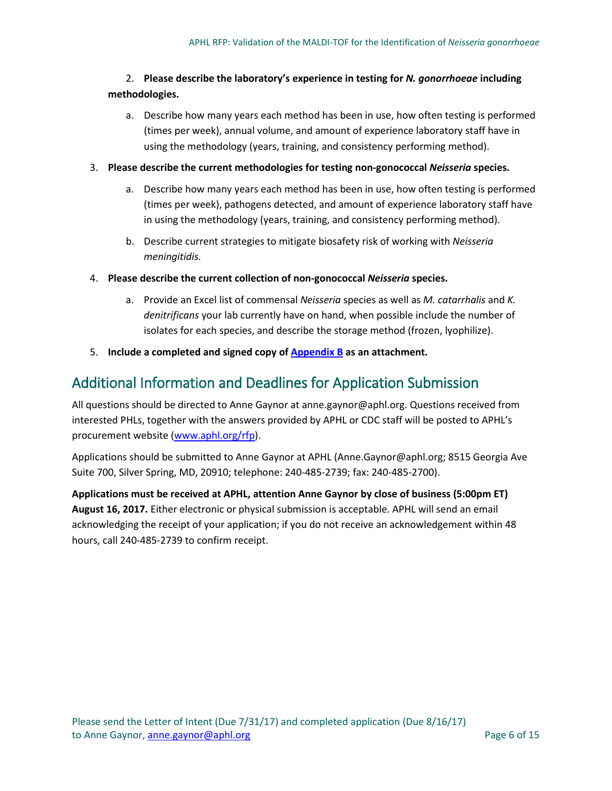#### 2. **Please describe the laboratory's experience in testing for** *N. gonorrhoeae* **including methodologies.**

a. Describe how many years each method has been in use, how often testing is performed (times per week), annual volume, and amount of experience laboratory staff have in using the methodology (years, training, and consistency performing method).

#### 3. **Please describe the current methodologies for testing non-gonococcal** *Neisseria* **species.**

- a. Describe how many years each method has been in use, how often testing is performed (times per week), pathogens detected, and amount of experience laboratory staff have in using the methodology (years, training, and consistency performing method).
- b. Describe current strategies to mitigate biosafety risk of working with *Neisseria meningitidis.*
- 4. **Please describe the current collection of non-gonococcal** *Neisseria* **species.** 
	- a. Provide an Excel list of commensal *Neisseria* species as well as *M. catarrhalis* and *K. denitrificans* your lab currently have on hand, when possible include the number of isolates for each species, and describe the storage method (frozen, lyophilize).
- 5. **Include a completed and signed copy of [Appendix B](#page-7-0) as an attachment.**

#### <span id="page-5-1"></span>Additional Information and Deadlines for Application Submission

All questions should be directed to Anne Gaynor at anne.gaynor@aphl.org. Questions received from interested PHLs, together with the answers provided by APHL or CDC staff will be posted to APHL's procurement website [\(www.aphl.org/rfp\)](http://www.aphl.org/rfp).

Applications should be submitted to Anne Gaynor at APHL (Anne.Gaynor@aphl.org; 8515 Georgia Ave Suite 700, Silver Spring, MD, 20910; telephone: 240-485-2739; fax: 240-485-2700).

<span id="page-5-0"></span>**Applications must be received at APHL, attention Anne Gaynor by close of business (5:00pm ET) August 16, 2017.** Either electronic or physical submission is acceptable. APHL will send an email acknowledging the receipt of your application; if you do not receive an acknowledgement within 48 hours, call 240-485-2739 to confirm receipt.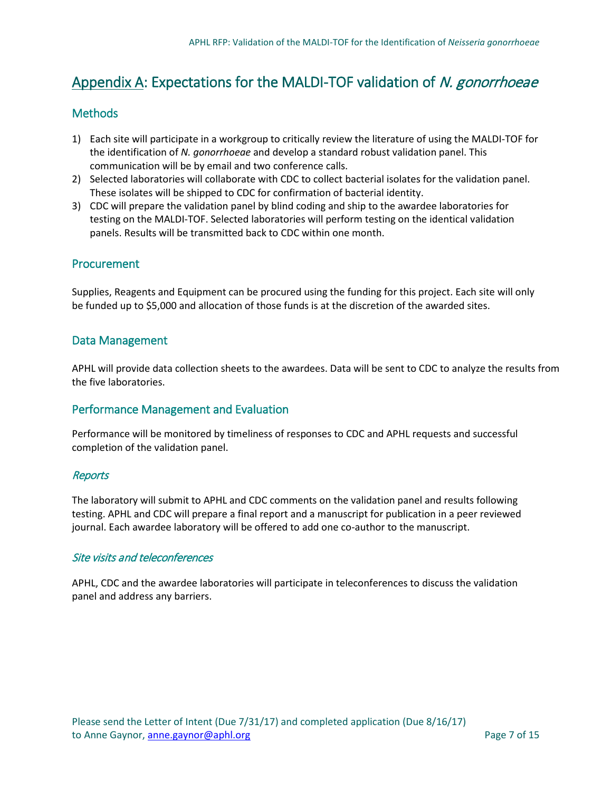### Appendix A: Expectations for the MALDI-TOF validation of N. gonorrhoeae

#### Methods

- 1) Each site will participate in a workgroup to critically review the literature of using the MALDI-TOF for the identification of *N. gonorrhoeae* and develop a standard robust validation panel. This communication will be by email and two conference calls.
- 2) Selected laboratories will collaborate with CDC to collect bacterial isolates for the validation panel. These isolates will be shipped to CDC for confirmation of bacterial identity.
- 3) CDC will prepare the validation panel by blind coding and ship to the awardee laboratories for testing on the MALDI-TOF. Selected laboratories will perform testing on the identical validation panels. Results will be transmitted back to CDC within one month.

#### Procurement

Supplies, Reagents and Equipment can be procured using the funding for this project. Each site will only be funded up to \$5,000 and allocation of those funds is at the discretion of the awarded sites.

#### Data Management

APHL will provide data collection sheets to the awardees. Data will be sent to CDC to analyze the results from the five laboratories.

#### Performance Management and Evaluation

Performance will be monitored by timeliness of responses to CDC and APHL requests and successful completion of the validation panel.

#### **Reports**

The laboratory will submit to APHL and CDC comments on the validation panel and results following testing. APHL and CDC will prepare a final report and a manuscript for publication in a peer reviewed journal. Each awardee laboratory will be offered to add one co-author to the manuscript.

#### Site visits and teleconferences

APHL, CDC and the awardee laboratories will participate in teleconferences to discuss the validation panel and address any barriers.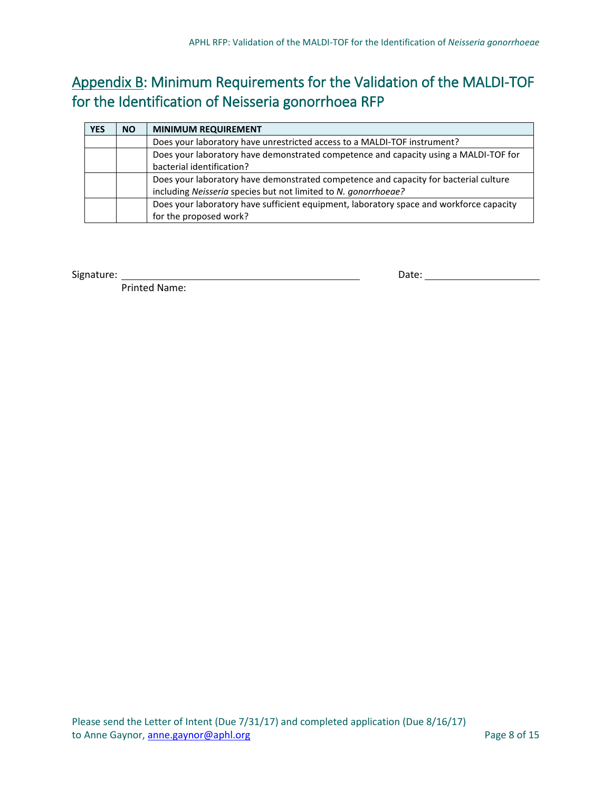### <span id="page-7-0"></span>Appendix B: Minimum Requirements for the Validation of the MALDI-TOF for the Identification of Neisseria gonorrhoea RFP

| <b>YES</b> | <b>NO</b> | <b>MINIMUM REQUIREMENT</b>                                                              |
|------------|-----------|-----------------------------------------------------------------------------------------|
|            |           | Does your laboratory have unrestricted access to a MALDI-TOF instrument?                |
|            |           | Does your laboratory have demonstrated competence and capacity using a MALDI-TOF for    |
|            |           | bacterial identification?                                                               |
|            |           | Does your laboratory have demonstrated competence and capacity for bacterial culture    |
|            |           | including Neisseria species but not limited to N. gonorrhoeae?                          |
|            |           | Does your laboratory have sufficient equipment, laboratory space and workforce capacity |
|            |           | for the proposed work?                                                                  |

Signature: Date:

Printed Name: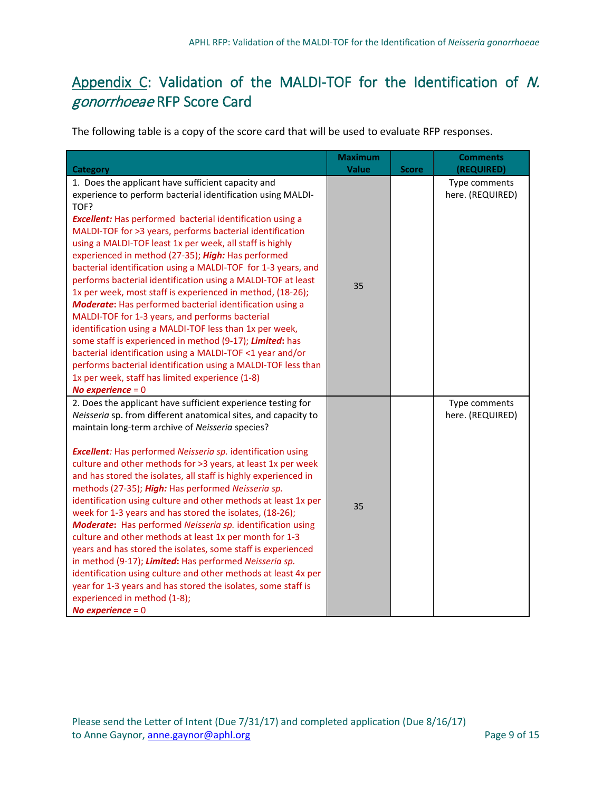### <span id="page-8-0"></span>Appendix C: Validation of the MALDI-TOF for the Identification of N. gonorrhoeae RFP Score Card

The following table is a copy of the score card that will be used to evaluate RFP responses.

| <b>Category</b>                                                                                                                                                                                                                                                                                                                                                                                                                                                                                                                                                                                                                                                                                                                                                                                                                                                                                                                                                                                                                     | <b>Maximum</b><br><b>Value</b> | <b>Score</b> | <b>Comments</b><br>(REQUIRED)     |
|-------------------------------------------------------------------------------------------------------------------------------------------------------------------------------------------------------------------------------------------------------------------------------------------------------------------------------------------------------------------------------------------------------------------------------------------------------------------------------------------------------------------------------------------------------------------------------------------------------------------------------------------------------------------------------------------------------------------------------------------------------------------------------------------------------------------------------------------------------------------------------------------------------------------------------------------------------------------------------------------------------------------------------------|--------------------------------|--------------|-----------------------------------|
| 1. Does the applicant have sufficient capacity and<br>experience to perform bacterial identification using MALDI-<br>TOF?<br><b>Excellent:</b> Has performed bacterial identification using a<br>MALDI-TOF for >3 years, performs bacterial identification<br>using a MALDI-TOF least 1x per week, all staff is highly<br>experienced in method (27-35); High: Has performed<br>bacterial identification using a MALDI-TOF for 1-3 years, and<br>performs bacterial identification using a MALDI-TOF at least<br>1x per week, most staff is experienced in method, (18-26);<br><b>Moderate:</b> Has performed bacterial identification using a<br>MALDI-TOF for 1-3 years, and performs bacterial<br>identification using a MALDI-TOF less than 1x per week,<br>some staff is experienced in method (9-17); Limited: has<br>bacterial identification using a MALDI-TOF <1 year and/or<br>performs bacterial identification using a MALDI-TOF less than<br>1x per week, staff has limited experience (1-8)<br>No experience $= 0$    | 35                             |              | Type comments<br>here. (REQUIRED) |
| 2. Does the applicant have sufficient experience testing for<br>Neisseria sp. from different anatomical sites, and capacity to<br>maintain long-term archive of Neisseria species?<br><b>Excellent:</b> Has performed Neisseria sp. identification using<br>culture and other methods for >3 years, at least 1x per week<br>and has stored the isolates, all staff is highly experienced in<br>methods (27-35); High: Has performed Neisseria sp.<br>identification using culture and other methods at least 1x per<br>week for 1-3 years and has stored the isolates, (18-26);<br><b>Moderate:</b> Has performed Neisseria sp. identification using<br>culture and other methods at least 1x per month for 1-3<br>years and has stored the isolates, some staff is experienced<br>in method (9-17); Limited: Has performed Neisseria sp.<br>identification using culture and other methods at least 4x per<br>year for 1-3 years and has stored the isolates, some staff is<br>experienced in method (1-8);<br>No experience $= 0$ | 35                             |              | Type comments<br>here. (REQUIRED) |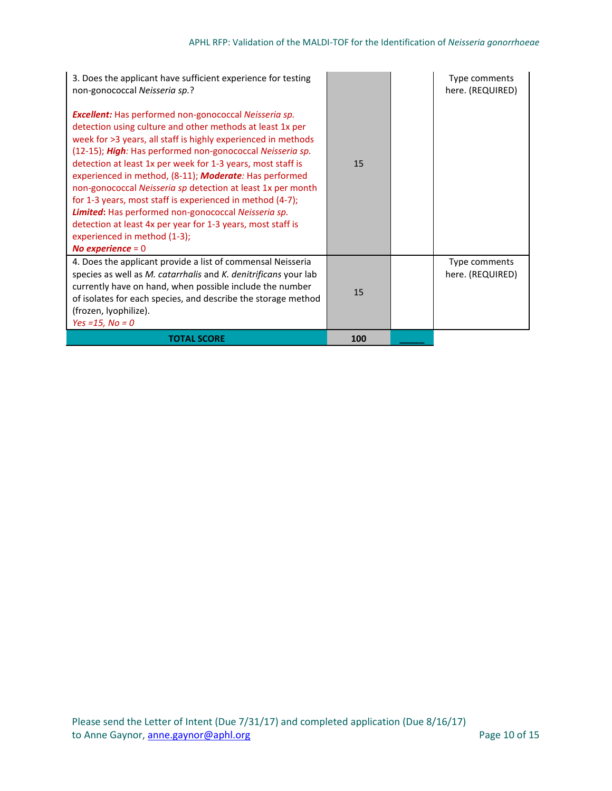| 3. Does the applicant have sufficient experience for testing<br>non-gonococcal Neisseria sp.?                                                                                                                                                                                                                                                                                                                                                                                                                                                                                                                                                                                                            |     | Type comments<br>here. (REQUIRED) |
|----------------------------------------------------------------------------------------------------------------------------------------------------------------------------------------------------------------------------------------------------------------------------------------------------------------------------------------------------------------------------------------------------------------------------------------------------------------------------------------------------------------------------------------------------------------------------------------------------------------------------------------------------------------------------------------------------------|-----|-----------------------------------|
| <b>Excellent:</b> Has performed non-gonococcal Neisseria sp.<br>detection using culture and other methods at least 1x per<br>week for >3 years, all staff is highly experienced in methods<br>(12-15); High: Has performed non-gonococcal Neisseria sp.<br>detection at least 1x per week for 1-3 years, most staff is<br>experienced in method, (8-11); <b>Moderate</b> : Has performed<br>non-gonococcal Neisseria sp detection at least 1x per month<br>for 1-3 years, most staff is experienced in method (4-7);<br><b>Limited:</b> Has performed non-gonococcal Neisseria sp.<br>detection at least 4x per year for 1-3 years, most staff is<br>experienced in method (1-3);<br>No experience $= 0$ | 15  |                                   |
| 4. Does the applicant provide a list of commensal Neisseria<br>species as well as M. catarrhalis and K. denitrificans your lab<br>currently have on hand, when possible include the number<br>of isolates for each species, and describe the storage method<br>(frozen, lyophilize).<br>Yes = $15$ , No = 0                                                                                                                                                                                                                                                                                                                                                                                              | 15  | Type comments<br>here. (REQUIRED) |
| <b>TOTAL SCORE</b>                                                                                                                                                                                                                                                                                                                                                                                                                                                                                                                                                                                                                                                                                       | 100 |                                   |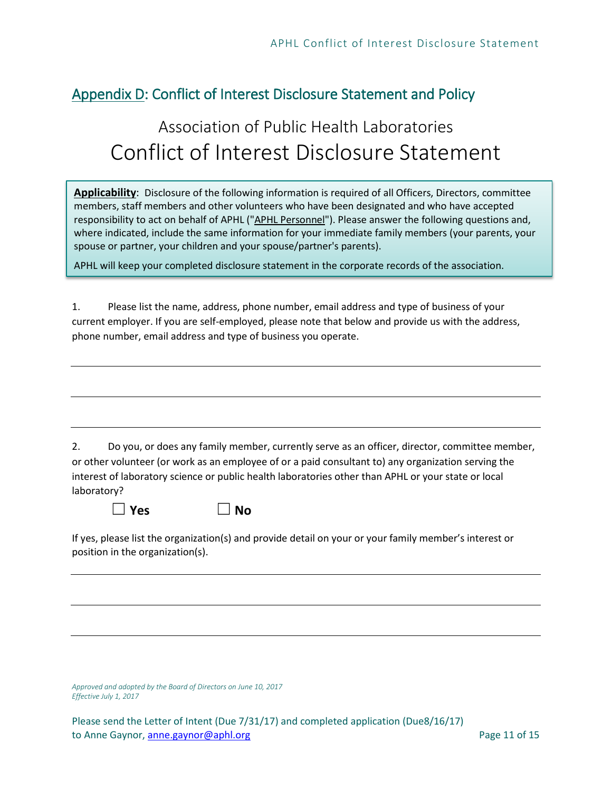### <span id="page-10-0"></span>Appendix D: Conflict of Interest Disclosure Statement and Policy

## Association of Public Health Laboratories Conflict of Interest Disclosure Statement

**Applicability**: Disclosure of the following information is required of all Officers, Directors, committee members, staff members and other volunteers who have been designated and who have accepted responsibility to act on behalf of APHL ("APHL Personnel"). Please answer the following questions and, where indicated, include the same information for your immediate family members (your parents, your spouse or partner, your children and your spouse/partner's parents).

APHL will keep your completed disclosure statement in the corporate records of the association.

1. Please list the name, address, phone number, email address and type of business of your current employer. If you are self-employed, please note that below and provide us with the address, phone number, email address and type of business you operate.

2. Do you, or does any family member, currently serve as an officer, director, committee member, or other volunteer (or work as an employee of or a paid consultant to) any organization serving the interest of laboratory science or public health laboratories other than APHL or your state or local laboratory?

☐ **Yes** ☐ **No**

If yes, please list the organization(s) and provide detail on your or your family member's interest or position in the organization(s).

*Approved and adopted by the Board of Directors on June 10, 2017 Effective July 1, 2017*

Please send the Letter of Intent (Due 7/31/17) and completed application (Due8/16/17) to Anne Gaynor, anne gaynor@aphl.org Page 11 of 15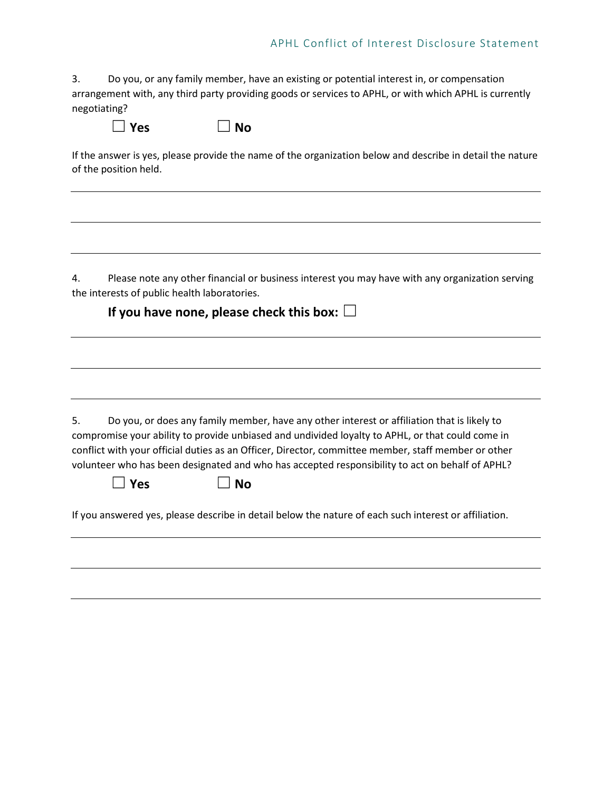3. Do you, or any family member, have an existing or potential interest in, or compensation arrangement with, any third party providing goods or services to APHL, or with which APHL is currently negotiating?

| $\vert$   Yes | $\Box$ No |
|---------------|-----------|
|---------------|-----------|

If the answer is yes, please provide the name of the organization below and describe in detail the nature of the position held.

4. Please note any other financial or business interest you may have with any organization serving the interests of public health laboratories.

**If you have none, please check this box:**  $\Box$ 5. Do you, or does any family member, have any other interest or affiliation that is likely to compromise your ability to provide unbiased and undivided loyalty to APHL, or that could come in conflict with your official duties as an Officer, Director, committee member, staff member or other volunteer who has been designated and who has accepted responsibility to act on behalf of APHL? ☐ **Yes** ☐ **No** If you answered yes, please describe in detail below the nature of each such interest or affiliation.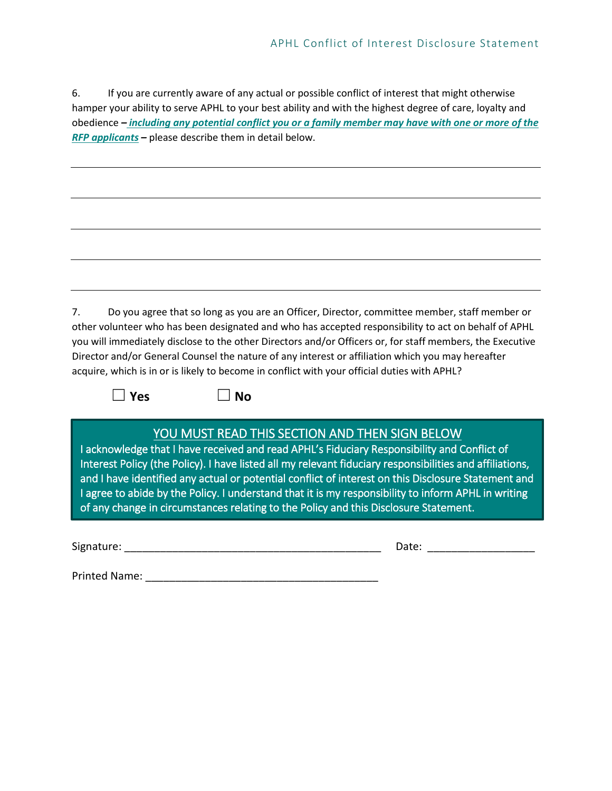6. If you are currently aware of any actual or possible conflict of interest that might otherwise hamper your ability to serve APHL to your best ability and with the highest degree of care, loyalty and obedience *– including any potential conflict you or a family member may have with one or more of the RFP applicants –* please describe them in detail below.

| 7. | Do you agree that so long as you are an Officer, Director, committee member, staff member or              |
|----|-----------------------------------------------------------------------------------------------------------|
|    | other volunteer who has been designated and who has accepted responsibility to act on behalf of APHL      |
|    | you will immediately disclose to the other Directors and/or Officers or, for staff members, the Executive |
|    | Director and/or General Counsel the nature of any interest or affiliation which you may hereafter         |
|    | acquire, which is in or is likely to become in conflict with your official duties with APHL?              |

☐ **Yes** ☐ **No**

#### YOU MUST READ THIS SECTION AND THEN SIGN BELOW

I acknowledge that I have received and read APHL's Fiduciary Responsibility and Conflict of Interest Policy (the Policy). I have listed all my relevant fiduciary responsibilities and affiliations, and I have identified any actual or potential conflict of interest on this Disclosure Statement and I agree to abide by the Policy. I understand that it is my responsibility to inform APHL in writing of any change in circumstances relating to the Policy and this Disclosure Statement.

Signature: \_\_\_\_\_\_\_\_\_\_\_\_\_\_\_\_\_\_\_\_\_\_\_\_\_\_\_\_\_\_\_\_\_\_\_\_\_\_\_\_\_\_\_ Date: \_\_\_\_\_\_\_\_\_\_\_\_\_\_\_\_\_\_

Printed Name: \_\_\_\_\_\_\_\_\_\_\_\_\_\_\_\_\_\_\_\_\_\_\_\_\_\_\_\_\_\_\_\_\_\_\_\_\_\_\_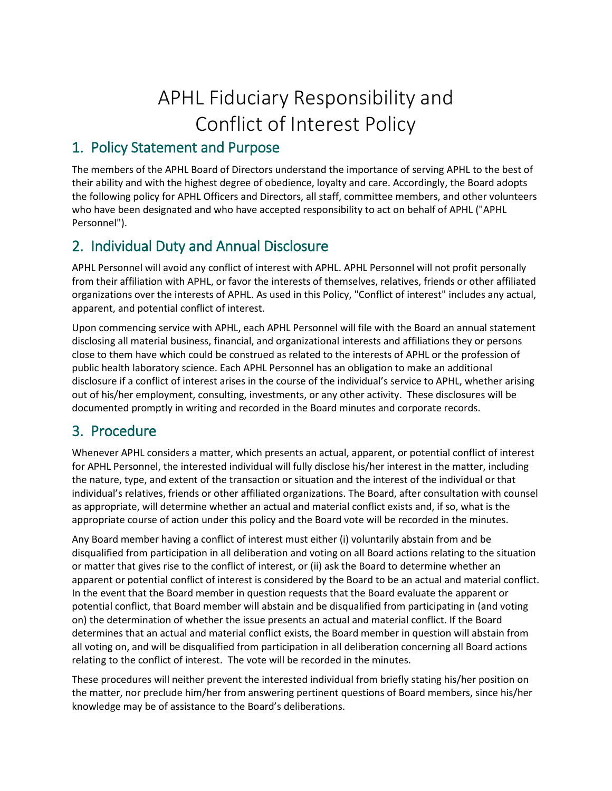# APHL Fiduciary Responsibility and Conflict of Interest Policy

### 1. Policy Statement and Purpose

The members of the APHL Board of Directors understand the importance of serving APHL to the best of their ability and with the highest degree of obedience, loyalty and care. Accordingly, the Board adopts the following policy for APHL Officers and Directors, all staff, committee members, and other volunteers who have been designated and who have accepted responsibility to act on behalf of APHL ("APHL Personnel").

### 2. Individual Duty and Annual Disclosure

APHL Personnel will avoid any conflict of interest with APHL. APHL Personnel will not profit personally from their affiliation with APHL, or favor the interests of themselves, relatives, friends or other affiliated organizations over the interests of APHL. As used in this Policy, "Conflict of interest" includes any actual, apparent, and potential conflict of interest.

Upon commencing service with APHL, each APHL Personnel will file with the Board an annual statement disclosing all material business, financial, and organizational interests and affiliations they or persons close to them have which could be construed as related to the interests of APHL or the profession of public health laboratory science. Each APHL Personnel has an obligation to make an additional disclosure if a conflict of interest arises in the course of the individual's service to APHL, whether arising out of his/her employment, consulting, investments, or any other activity. These disclosures will be documented promptly in writing and recorded in the Board minutes and corporate records.

#### 3. Procedure

Whenever APHL considers a matter, which presents an actual, apparent, or potential conflict of interest for APHL Personnel, the interested individual will fully disclose his/her interest in the matter, including the nature, type, and extent of the transaction or situation and the interest of the individual or that individual's relatives, friends or other affiliated organizations. The Board, after consultation with counsel as appropriate, will determine whether an actual and material conflict exists and, if so, what is the appropriate course of action under this policy and the Board vote will be recorded in the minutes.

Any Board member having a conflict of interest must either (i) voluntarily abstain from and be disqualified from participation in all deliberation and voting on all Board actions relating to the situation or matter that gives rise to the conflict of interest, or (ii) ask the Board to determine whether an apparent or potential conflict of interest is considered by the Board to be an actual and material conflict. In the event that the Board member in question requests that the Board evaluate the apparent or potential conflict, that Board member will abstain and be disqualified from participating in (and voting on) the determination of whether the issue presents an actual and material conflict. If the Board determines that an actual and material conflict exists, the Board member in question will abstain from all voting on, and will be disqualified from participation in all deliberation concerning all Board actions relating to the conflict of interest. The vote will be recorded in the minutes.

These procedures will neither prevent the interested individual from briefly stating his/her position on the matter, nor preclude him/her from answering pertinent questions of Board members, since his/her knowledge may be of assistance to the Board's deliberations.